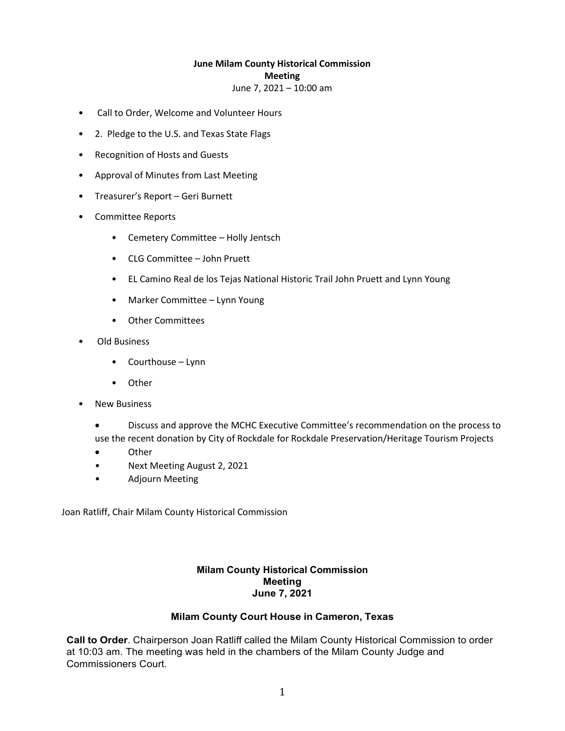### **June Milam County Historical Commission Meeting**

June 7, 2021 – 10:00 am

- Call to Order, Welcome and Volunteer Hours
- 2. Pledge to the U.S. and Texas State Flags
- Recognition of Hosts and Guests
- Approval of Minutes from Last Meeting
- Treasurer's Report Geri Burnett
- Committee Reports
	- Cemetery Committee Holly Jentsch
	- CLG Committee John Pruett
	- EL Camino Real de los Tejas National Historic Trail John Pruett and Lynn Young
	- Marker Committee Lynn Young
	- Other Committees
- Old Business
	- Courthouse Lynn
	- Other
- New Business
	- Discuss and approve the MCHC Executive Committee's recommendation on the process to use the recent donation by City of Rockdale for Rockdale Preservation/Heritage Tourism Projects
	- Other
	- Next Meeting August 2, 2021
	- Adjourn Meeting

Joan Ratliff, Chair Milam County Historical Commission

# **Milam County Historical Commission Meeting June 7, 2021**

## **Milam County Court House in Cameron, Texas**

**Call to Order**. Chairperson Joan Ratliff called the Milam County Historical Commission to order at 10:03 am. The meeting was held in the chambers of the Milam County Judge and Commissioners Court.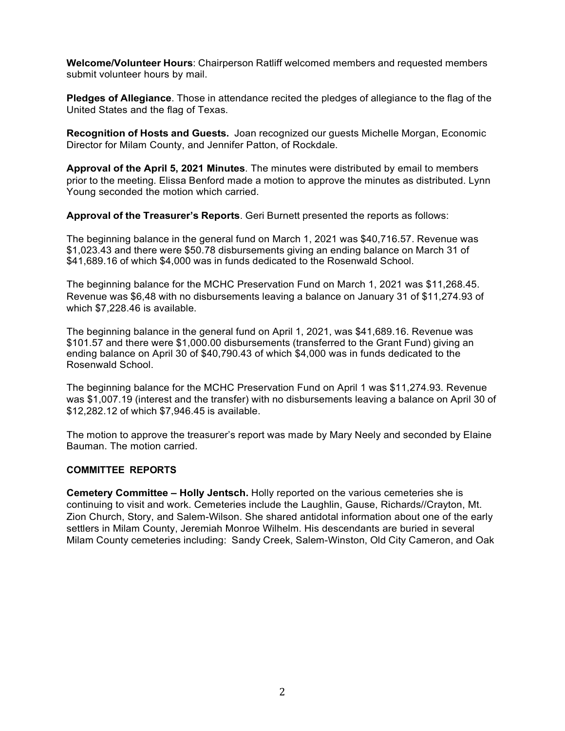**Welcome/Volunteer Hours**: Chairperson Ratliff welcomed members and requested members submit volunteer hours by mail.

**Pledges of Allegiance**. Those in attendance recited the pledges of allegiance to the flag of the United States and the flag of Texas.

**Recognition of Hosts and Guests.** Joan recognized our guests Michelle Morgan, Economic Director for Milam County, and Jennifer Patton, of Rockdale.

**Approval of the April 5, 2021 Minutes**. The minutes were distributed by email to members prior to the meeting. Elissa Benford made a motion to approve the minutes as distributed. Lynn Young seconded the motion which carried.

**Approval of the Treasurer's Reports**. Geri Burnett presented the reports as follows:

The beginning balance in the general fund on March 1, 2021 was \$40,716.57. Revenue was \$1,023.43 and there were \$50.78 disbursements giving an ending balance on March 31 of \$41,689.16 of which \$4,000 was in funds dedicated to the Rosenwald School.

The beginning balance for the MCHC Preservation Fund on March 1, 2021 was \$11,268.45. Revenue was \$6,48 with no disbursements leaving a balance on January 31 of \$11,274.93 of which \$7,228.46 is available.

The beginning balance in the general fund on April 1, 2021, was \$41,689.16. Revenue was \$101.57 and there were \$1,000.00 disbursements (transferred to the Grant Fund) giving an ending balance on April 30 of \$40,790.43 of which \$4,000 was in funds dedicated to the Rosenwald School.

The beginning balance for the MCHC Preservation Fund on April 1 was \$11,274.93. Revenue was \$1,007.19 (interest and the transfer) with no disbursements leaving a balance on April 30 of \$12,282.12 of which \$7,946.45 is available.

The motion to approve the treasurer's report was made by Mary Neely and seconded by Elaine Bauman. The motion carried.

## **COMMITTEE REPORTS**

**Cemetery Committee – Holly Jentsch.** Holly reported on the various cemeteries she is continuing to visit and work. Cemeteries include the Laughlin, Gause, Richards//Crayton, Mt. Zion Church, Story, and Salem-Wilson. She shared antidotal information about one of the early settlers in Milam County, Jeremiah Monroe Wilhelm. His descendants are buried in several Milam County cemeteries including: Sandy Creek, Salem-Winston, Old City Cameron, and Oak